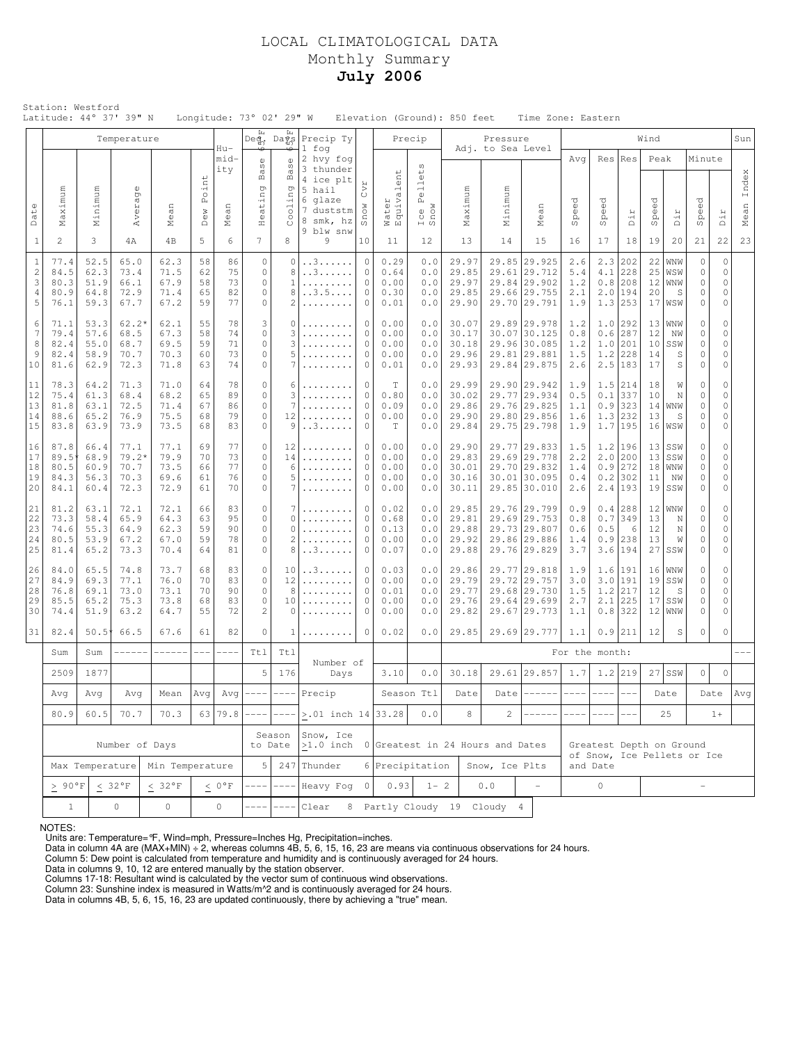# LOCAL CLIMATOLOGICAL DATA Monthly Summary **July 2006**

|                                                        | Station: Westford<br>Latitude: 44° 37' 39" N                                   |                                      |                                         |                                                                        |                            |                            |                                                                 | Longitude: 73° 02' 29" W                  |                                                                       |                                                                                                 |                                      |                                                                                                    | Elevation (Ground): 850 feet              |                              | Time Zone: Eastern                                                           |                                 |                          |                                                                       |                                                         |                                               |                                               |                                           |               |
|--------------------------------------------------------|--------------------------------------------------------------------------------|--------------------------------------|-----------------------------------------|------------------------------------------------------------------------|----------------------------|----------------------------|-----------------------------------------------------------------|-------------------------------------------|-----------------------------------------------------------------------|-------------------------------------------------------------------------------------------------|--------------------------------------|----------------------------------------------------------------------------------------------------|-------------------------------------------|------------------------------|------------------------------------------------------------------------------|---------------------------------|--------------------------|-----------------------------------------------------------------------|---------------------------------------------------------|-----------------------------------------------|-----------------------------------------------|-------------------------------------------|---------------|
|                                                        |                                                                                |                                      | Temperature                             |                                                                        |                            | Hu-                        |                                                                 | Deg, Days                                 | Precip Ty<br>1 fog                                                    |                                                                                                 |                                      | Precip                                                                                             |                                           | Pressure                     |                                                                              |                                 |                          |                                                                       | Wind                                                    |                                               |                                               |                                           | Sun           |
| Date                                                   | Maximum                                                                        | Minimum                              | Average                                 | Mean                                                                   | Point                      | mid-<br>ity<br>$\square$   | $_{\rm S}^{\rm e}$<br>Ba<br>ng<br>ί÷                            | ₻<br>S<br>Ba<br>pu<br>Cooli               | 2 hvy fog<br>3 thunder<br>4 ice plt<br>5 hail<br>6 glaze<br>7 duststm | CVT<br>Snow                                                                                     | alent<br>Water<br>Equiva             | $\omega$<br>$_{\oplus}^{\scriptscriptstyle\downarrow}$<br>급<br>$\mathbb{O}$<br>Á,<br>Ice I<br>Snow | Maximum                                   | Adj. to Sea Level<br>Minimum | $\square$                                                                    | Avg<br>$\vec{C}$                | Res<br>ල<br>0            | Res                                                                   | Peak<br>Speed                                           |                                               | Minute<br>Speed                               |                                           | Index<br>Mean |
|                                                        |                                                                                |                                      |                                         |                                                                        | Dew                        | Meai                       | Hea                                                             |                                           | 8 smk, hz<br>9 blw snw                                                |                                                                                                 |                                      |                                                                                                    |                                           |                              | Mea:                                                                         | Spei                            | Spe                      | Dir                                                                   |                                                         | Dir                                           |                                               | Dir                                       |               |
| $\mathbf{1}$                                           | $\overline{2}$                                                                 | 3                                    | 4A                                      | 4B                                                                     | 5                          | 6                          | 7                                                               | 8                                         | 9                                                                     | 10<br>$\mathbf 0$                                                                               | 11<br>0.29                           | 12                                                                                                 | 13                                        | 14                           | 15                                                                           | 16                              | 17                       | 18                                                                    | 19                                                      | 20                                            | 21                                            | 22                                        | 23            |
| $\mathbf{1}$<br>$\sqrt{2}$<br>3<br>$\overline{4}$<br>5 | 77.4<br>84.5<br>80.3<br>80.9<br>76.1                                           | 52.5<br>62.3<br>51.9<br>64.8<br>59.3 | 65.0<br>73.4<br>66.1<br>72.9<br>67.7    | 62.3<br>71.5<br>67.9<br>71.4<br>67.2                                   | 58<br>62<br>58<br>65<br>59 | 86<br>75<br>73<br>82<br>77 | $\circ$<br>$\mathbb O$<br>$\circ$<br>$\circ$<br>$\mathbb O$     | $\circ$<br>8<br>$\mathbf{1}$<br>8<br>2    | . . 3<br>. . 3<br>.<br>3.5<br>.                                       | $\mathbf{0}$<br>0.64<br>0.00<br>$\mathbf{0}$<br>$\circ$<br>0.30<br>$\circ$<br>0.01              |                                      | 0.0<br>0.0<br>0.0<br>0.0<br>0.0                                                                    | 29.97<br>29.85<br>29.97<br>29.85<br>29.90 |                              | 29.85 29.925<br>29.61 29.712<br>29.84 29.902<br>29.66 29.755<br>29.70 29.791 | 2.6<br>5.4<br>1.2<br>2.1<br>1.9 | 4.1<br>2.0               | $2.3$ 202<br>228<br>$0.8$ 208<br>194<br>$1.3$ 253                     | 22<br>25<br>12<br>20                                    | WNW<br>WSW<br>WNW<br>S<br>17 WSW              | $\circ$<br>0<br>0<br>0<br>$\mathsf{O}\xspace$ | 0<br>0<br>$\mathbf 0$<br>0<br>$\circ$     |               |
| 6<br>7<br>8<br>9<br>10                                 | 71.1<br>79.4<br>82.4<br>82.4<br>81.6                                           | 53.3<br>57.6<br>55.0<br>58.9<br>62.9 | $62.2*$<br>68.5<br>68.7<br>70.7<br>72.3 | 62.1<br>67.3<br>69.5<br>70.3<br>71.8                                   | 55<br>58<br>59<br>60<br>63 | 78<br>74<br>71<br>73<br>74 | 3<br>$\mathbb O$<br>$\circ$<br>$\circ$<br>$\circ$               | 0<br>3<br>3<br>5                          | .<br>.<br>.                                                           | 0.00<br>0<br>0<br>0.00<br>$\circ$<br>0.00<br>$\mathbf 0$<br>0.00<br>$\circ$<br>0.01             |                                      | 0.0<br>0.0<br>0.0<br>0.0<br>0.0                                                                    | 30.07<br>30.17<br>30.18<br>29.96<br>29.93 |                              | 29.89 29.978<br>30.07 30.125<br>29.96 30.085<br>29.81 29.881<br>29.84 29.875 | 1.2<br>0.8<br>1.2<br>1.5<br>2.6 | 0.6<br>1.0               | $1.0$ 292<br>287<br>201<br>$1.2$ 228<br>$2.5$   183                   | 12<br>10<br>14<br>17                                    | $13 $ WNW<br>NW<br>SSW<br>S<br>S              | 0<br>0<br>0<br>$\mathsf{O}\xspace$<br>$\circ$ | 0<br>0<br>0<br>0<br>0                     |               |
| 11<br>12<br>13<br>14<br>15                             | 78.3<br>75.4<br>81.8<br>88.6<br>83.8                                           | 64.2<br>61.3<br>63.1<br>65.2<br>63.9 | 71.3<br>68.4<br>72.5<br>76.9<br>73.9    | 71.0<br>68.2<br>71.4<br>75.5<br>73.5                                   | 64<br>65<br>67<br>68<br>68 | 78<br>89<br>86<br>79<br>83 | $\circ$<br>$\circ$<br>$\circ$<br>$\circ$<br>$\circ$             | 6<br>3<br>7<br>12<br>9                    | .<br>.<br>. . 3                                                       | 0<br>$\mathbf 0$<br>0.80<br>$\circ$<br>0.09<br>$\circ$<br>0.00<br>$\mathbf{0}$                  |                                      | 0.0<br>0.0<br>0.0<br>0.0<br>0.0                                                                    | 29.99<br>30.02<br>29.86<br>29.90<br>29.84 |                              | 29.90 29.942<br>29.77 29.934<br>29.76 29.825<br>29.80 29.856<br>29.75 29.798 | 1.9<br>0.5<br>1.1<br>1.6<br>1.9 | 0.1<br>1.3               | $1.5$   214<br>337<br>$0.9$ 323<br>232<br>1.7 195                     | 18<br>10<br>13                                          | W<br>N<br>$14 $ WNW<br>S<br>16 WSW            | 0<br>0<br>$\mathbb O$<br>0<br>0               | $\mathbf 0$<br>0<br>0<br>0<br>0           |               |
| 16<br>17<br>18<br>19<br>20                             | 87.8<br>89.5<br>80.5<br>84.3<br>84.1                                           | 66.4<br>68.9<br>60.9<br>56.3<br>60.4 | 77.1<br>$79.2*$<br>70.7<br>70.3<br>72.3 | 77.1<br>79.9<br>73.5<br>69.6<br>72.9                                   | 69<br>70<br>66<br>61<br>61 | 77<br>73<br>77<br>76<br>70 | $\mathbb O$<br>$\mathbb O$<br>$\circ$<br>$\circ$<br>$\mathbb O$ | 12<br>14<br>6<br>5<br>7                   | .<br>.<br>.<br>.                                                      | $\circ$<br>$\mathbf{0}$<br>$\mathbf{0}$<br>0<br>0                                               |                                      | 0.0<br>0.0<br>0.0<br>$0.0$<br>0.0                                                                  | 29.90<br>29.83<br>30.01<br>30.16<br>30.11 |                              | 29.77 29.833<br>29.69 29.778<br>29.70 29.832<br>30.01 30.095<br>29.85 30.010 | 1.5<br>2.2<br>1.4<br>0.4<br>2.6 |                          | $1.2$   196<br>$2.0$ 200<br>$0.9$   272<br>$0.2$   302<br>$2.4$   193 | 13<br>18<br>11                                          | $13$ SSW<br> SSW<br>WNW<br>NW<br>$19$ SSW     | 0<br>0<br>$\circ$<br>0<br>$\circ$             | 0<br>$\mathbf 0$<br>0<br>0<br>0           |               |
| 21<br>22<br>23<br>24<br>25                             | 81.2<br>73.3<br>74.6<br>80.5<br>81.4                                           | 63.1<br>58.4<br>55.3<br>53.9<br>65.2 | 72.1<br>65.9<br>64.9<br>67.2<br>73.3    | 72.1<br>64.3<br>62.3<br>67.0<br>70.4                                   | 66<br>63<br>59<br>59<br>64 | 83<br>95<br>90<br>78<br>81 | $\circ$<br>$\circ$<br>$\mathbb O$<br>$\circ$<br>$\mathbf 0$     | 7<br>$\Omega$<br>0<br>$\overline{c}$<br>8 | .<br>.<br>. . 3                                                       | 0<br>$\mathbf{0}$<br>$\mathbf{0}$<br>0<br>$\mathbf{0}$                                          | 0.02<br>0.68<br>0.13<br>0.00<br>0.07 | 0.0<br>0.0<br>0.0<br>0.0<br>0.0                                                                    | 29.85<br>29.81<br>29.88<br>29.92<br>29.88 |                              | 29.76 29.799<br>29.69 29.753<br>29.73 29.807<br>29.86 29.886<br>29.76 29.829 | 0.9<br>0.8<br>0.6<br>1.4<br>3.7 | 0.7<br>0.5<br>0.9<br>3.6 | $0.4$  288<br>349<br>6<br>238<br>194                                  | 13<br>12<br>13                                          | $12 $ WNW<br>N<br>N<br>W<br>$27$ SSW          | 0<br>0<br>$\circ$<br>0<br>$\circ$             | 0<br>$\mathbf 0$<br>0<br>0<br>$\mathbf 0$ |               |
| 26<br>27<br>28<br>29<br>30                             | 84.0<br>84.9<br>76.8<br>85.5<br>74.4                                           | 65.5<br>69.3<br>69.1<br>65.2<br>51.9 | 74.8<br>77.1<br>73.0<br>75.3<br>63.2    | 73.7<br>76.0<br>73.1<br>73.8<br>64.7                                   | 68<br>70<br>70<br>68<br>55 | 83<br>83<br>90<br>83<br>72 | $\circ$<br>$\circ$<br>$\circ$<br>$\circ$<br>$\overline{2}$      | 10<br>12<br>8<br>10<br>0                  | . . 3<br>.<br>.<br>.                                                  | $\circ$<br>0.03<br>$\mathbf{0}$<br>0.00<br>$\mathbf{0}$<br>0.01<br>$\circ$<br>0.00<br>0.00<br>0 |                                      | 0.0<br>0.0<br>0.0<br>0.0<br>0.0                                                                    | 29.86<br>29.79<br>29.77<br>29.76<br>29.82 |                              | 29.77 29.818<br>29.72 29.757<br>29.68 29.730<br>29.64 29.699<br>29.67 29.773 | 1.9<br>3.0<br>1.5<br>2.7<br>1.1 | 2.1<br>0.8               | $1.6$   191<br>$3.0$  191<br>$1.2$   217<br>225<br>322                | 12<br>17                                                | $16$ WNW<br>$19$ SSW<br>S<br>SSW<br>$12 $ WNW | 0<br>$\circ$<br>0<br>0<br>$\circ$             | 0<br>0<br>$\mathbf 0$<br>0<br>$\mathbf 0$ |               |
| 31                                                     | 82.4                                                                           | $50.5*$                              | 66.5                                    | 67.6                                                                   | 61                         | 82                         | $\circ$                                                         | 1                                         | .                                                                     | $\mathbf 0$                                                                                     | 0.02                                 | 0.0                                                                                                | 29.85                                     |                              | 29.69 29.777                                                                 | 1.1                             |                          | $0.9$   211                                                           | 12                                                      | $\mathbb S$                                   | $\circ$                                       | 0                                         |               |
|                                                        | Sum                                                                            | Sum                                  | ------                                  | $------$                                                               | $\frac{1}{2}$              | $---$                      | Ttl                                                             | Ttl                                       | Number of                                                             |                                                                                                 | 3.10                                 |                                                                                                    |                                           |                              |                                                                              | For the month:                  |                          |                                                                       |                                                         |                                               |                                               |                                           |               |
|                                                        | 2509                                                                           | 1877                                 |                                         |                                                                        |                            |                            | 5                                                               | 176                                       | Days                                                                  |                                                                                                 |                                      | 0.0<br>Season Ttl                                                                                  | 30.18<br>Date                             |                              | 29.61 29.857                                                                 | 1.7                             | $- - - - -$              | $1.2$  219<br>$---$                                                   |                                                         | $27$ SSW<br>Date                              | $\circ$                                       | $\Omega$                                  | Avq           |
|                                                        | Avg<br>80.9                                                                    | Avg<br>60.5                          |                                         | Avg   Avg $ --- ---$<br>Avg<br>Mean<br>63 79.8<br>70.7<br>70.3<br>---- |                            |                            | Precip<br>$> 01$ inch $14$ 33.28                                |                                           |                                                                       | 0.0                                                                                             | 8                                    | Date<br>$\overline{2}$                                                                             | $-------$                                 | $--- - - -$                  |                                                                              |                                 |                          | 25                                                                    |                                                         | Date<br>$1+$                                  |                                               |                                           |               |
|                                                        |                                                                                |                                      |                                         |                                                                        |                            |                            |                                                                 | Season                                    | Snow, Ice                                                             |                                                                                                 |                                      |                                                                                                    |                                           |                              |                                                                              |                                 |                          |                                                                       |                                                         |                                               |                                               |                                           |               |
|                                                        | Number of Days<br>Max Temperature                                              |                                      |                                         |                                                                        |                            |                            | 5 <sup>1</sup>                                                  | to Date                                   | >1.0 inch 0 Greatest in 24 Hours and Dates<br>$247$ Thunder           |                                                                                                 | 6 Precipitation                      |                                                                                                    |                                           | Snow, Ice Plts               |                                                                              | and Date                        |                          |                                                                       | Greatest Depth on Ground<br>of Snow, Ice Pellets or Ice |                                               |                                               |                                           |               |
|                                                        | Min Temperature<br>$\geq~90\,^{\rm o}{\rm F}$<br>$< 32 °F$<br>$< 32^{\circ}$ F |                                      |                                         |                                                                        | $\leq~0~^{\rm o}$ F        |                            |                                                                 | Heavy Fog                                 | $\circ$                                                               | 0.93                                                                                            | $1 - 2$                              |                                                                                                    | 0.0                                       |                              | $\circ$                                                                      |                                 | $\overline{a}$           |                                                                       |                                                         |                                               |                                               |                                           |               |
|                                                        | $\circ$<br>$\circ$<br>$\circ$<br>$\mathbf{1}$                                  |                                      |                                         |                                                                        |                            |                            |                                                                 |                                           | Clear                                                                 |                                                                                                 |                                      |                                                                                                    |                                           | 8 Partly Cloudy 19 Cloudy 4  |                                                                              |                                 |                          |                                                                       |                                                         |                                               |                                               |                                           |               |

NOTES:

Units are: Temperature=°F, Wind=mph, Pressure=Inches Hg, Precipitation=inches. Data in column 4A are (MAX+MIN) ÷ 2, whereas columns 4B, 5, 6, 15, 16, 23 are means via continuous observations for 24 hours.

Column 5: Dew point is calculated from temperature and humidity and is continuously averaged for 24 hours. Data in columns 9, 10, 12 are entered manually by the station observer.

Columns 17-18: Resultant wind is calculated by the vector sum of continuous wind observations.<br>Column 23: Sunshine index is measured in Watts/m^2 and is continuously averaged for 24 hours.<br>Data in columns 4B, 5, 6, 15, 16,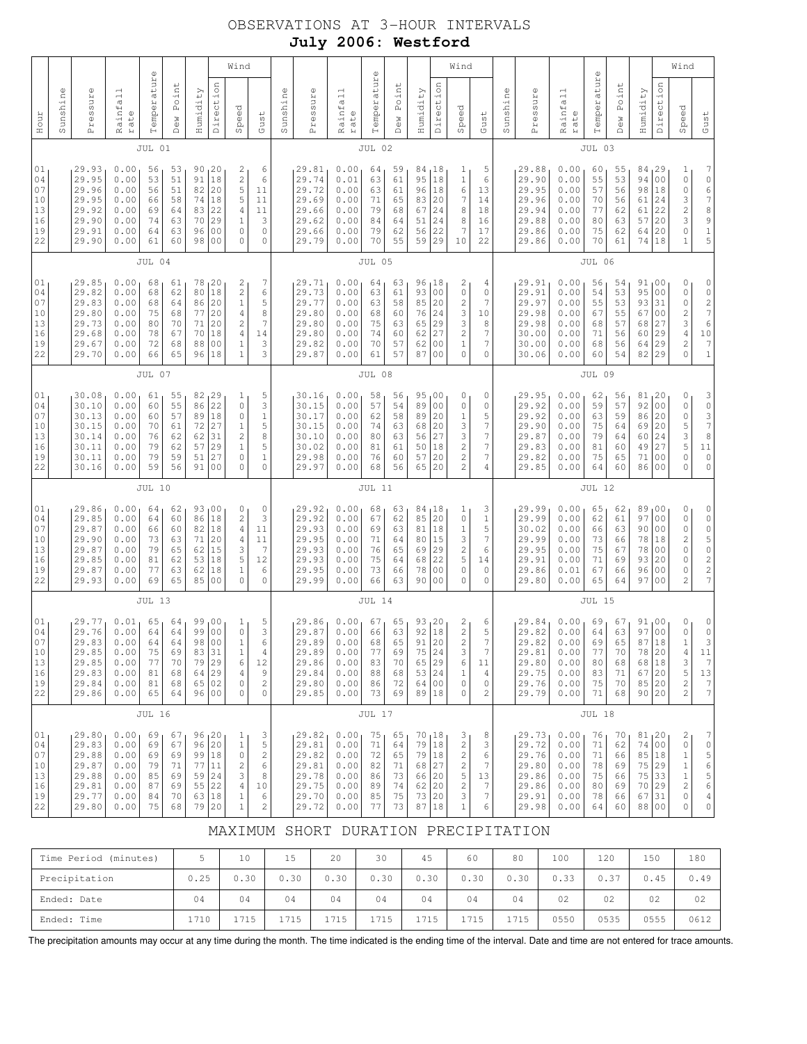# OBSERVATIONS AT 3-HOUR INTERVALS **July 2006: Westford**

|                                              |          | Wind<br>$\mathbb{O}$                                                 |                                                              |                                              |                                              |                                              |                                                                                     |                                                                                                                                                    |                                                                      |          |                                                                      |                                                              | $\mathbb U$                                  |                                              |                                                          |                                                                       | Wind                                                                              |                                                                    |          |                                                                      |                                                              |                                              |                                              |                                                             |                                                                                                                       | Wind                                                                                                                              |                                                                                                       |
|----------------------------------------------|----------|----------------------------------------------------------------------|--------------------------------------------------------------|----------------------------------------------|----------------------------------------------|----------------------------------------------|-------------------------------------------------------------------------------------|----------------------------------------------------------------------------------------------------------------------------------------------------|----------------------------------------------------------------------|----------|----------------------------------------------------------------------|--------------------------------------------------------------|----------------------------------------------|----------------------------------------------|----------------------------------------------------------|-----------------------------------------------------------------------|-----------------------------------------------------------------------------------|--------------------------------------------------------------------|----------|----------------------------------------------------------------------|--------------------------------------------------------------|----------------------------------------------|----------------------------------------------|-------------------------------------------------------------|-----------------------------------------------------------------------------------------------------------------------|-----------------------------------------------------------------------------------------------------------------------------------|-------------------------------------------------------------------------------------------------------|
| Hour                                         | Sunshine | Pressure                                                             | Rainfall<br>rate                                             | Temperatur                                   | Point<br><b>Dew</b>                          | Humidity                                     | Direction                                                                           | Speed                                                                                                                                              | Gust                                                                 | Sunshine | Pressure                                                             | Rainfall<br>rate                                             | Temperatur                                   | Point<br>Dew                                 | Humidity                                                 | Direction                                                             | Speed                                                                             | Gust                                                               | Sunshine | Pressure                                                             | Rainfall<br>rate                                             | Temperature                                  | Point<br>Dew                                 | Humidity                                                    | Direction                                                                                                             | Speed                                                                                                                             | Gust                                                                                                  |
|                                              |          |                                                                      |                                                              | JUL 01                                       |                                              |                                              |                                                                                     |                                                                                                                                                    |                                                                      |          |                                                                      |                                                              | JUL 02                                       |                                              |                                                          |                                                                       |                                                                                   |                                                                    |          |                                                                      |                                                              | JUL 03                                       |                                              |                                                             |                                                                                                                       |                                                                                                                                   |                                                                                                       |
| 01<br>04<br>07<br>10<br>13<br>16<br>19<br>22 |          | 29.93<br>29.95<br>29.96<br>29.95<br>29.92<br>29.90<br>29.91<br>29.90 | 0.00<br>0.00<br>0.00<br>0.00<br>0.00<br>0.00<br>0.00<br>0.00 | 56<br>53<br>56<br>66<br>69<br>74<br>64<br>61 | 53<br>51<br>51<br>58<br>64<br>63<br>63<br>60 | 90<br>91<br>82<br>74<br>83<br>70<br>96<br>98 | 20<br>18<br>20<br>18<br>22<br>29<br>0 <sub>0</sub><br>0 <sub>0</sub>                | 2<br>$\mathfrak{2}% _{T}=\mathfrak{2}_{T}\!\left( a,b\right) ,\mathfrak{2}_{T}$<br>5<br>5<br>$\sqrt{4}$<br>$1\,$<br>$\circ$<br>$\mathsf{O}\xspace$ | 6<br>6<br>11<br>11<br>11<br>3<br>$\circ$<br>$\circ$                  |          | 29.81<br>29.74<br>29.72<br>29.69<br>29.66<br>29.62<br>29.66<br>29.79 | 0.00<br>0.01<br>0.00<br>0.00<br>0.00<br>0.00<br>0.00<br>0.00 | 64<br>63<br>63<br>71<br>79<br>84<br>79<br>70 | 59<br>61<br>61<br>65<br>68<br>64<br>62<br>55 | 84<br>95<br>96<br>83<br>67<br>51<br>56<br>59             | <sub>1</sub> 18<br>18<br>18<br> 20<br>24<br>24<br>22<br>29            | 1<br>$\mathbf 1$<br>6<br>7<br>8<br>8<br>7<br>10                                   | 5<br>6<br>13<br>14<br>18<br>16<br>17<br>22                         |          | 29.88<br>29.90<br>29.95<br>29.96<br>29.94<br>29.88<br>29.86<br>29.86 | 0.00<br>0.00<br>0.00<br>0.00<br>0.00<br>0.00<br>0.00<br>0.00 | 60<br>55<br>57<br>70<br>77<br>80<br>75<br>70 | 55<br>53<br>56<br>56<br>62<br>63<br>62<br>61 | 84<br>94<br>98<br>61<br>61<br>57<br>64<br>74                | 29<br>0 <sub>0</sub><br>18<br>24<br>22<br>20<br>20<br>18                                                              | 1<br>$\mathbb O$<br>$\mathbb O$<br>3<br>$\frac{2}{3}$<br>$\circ$<br>$\mathbf{1}$                                                  | 7067891<br>5                                                                                          |
|                                              |          |                                                                      |                                                              | JUL 04                                       |                                              |                                              |                                                                                     |                                                                                                                                                    |                                                                      |          |                                                                      |                                                              | JUL 05                                       |                                              |                                                          |                                                                       |                                                                                   |                                                                    |          |                                                                      |                                                              | <b>JUL 06</b>                                |                                              |                                                             |                                                                                                                       |                                                                                                                                   |                                                                                                       |
| 01<br>04<br>07<br>10<br>13<br>16<br>19<br>22 |          | 29.85<br>29.82<br>29.83<br>29.80<br>29.73<br>29.68<br>29.67<br>29.70 | 0.00<br>0.00<br>0.00<br>0.00<br>0.00<br>0.00<br>0.00<br>0.00 | 68<br>68<br>68<br>75<br>80<br>78<br>72<br>66 | 61<br>62<br>64<br>68<br>70<br>67<br>68<br>65 | 78<br>80<br>86<br>77<br>71<br>70<br>88<br>96 | 20<br>18<br>20<br>20<br>20<br>18<br>0 <sub>0</sub><br>18                            | 2<br>$\sqrt{2}$<br>$\mathbf 1$<br>$\sqrt{4}$<br>$\mathbf{2}$<br>4<br>$1\,$<br>$1\,$                                                                | 7<br>6<br>5<br>8<br>7<br>14<br>3<br>3                                |          | 29.71<br>29.73<br>29.77<br>29.80<br>29.80<br>29.80<br>29.82<br>29.87 | 0.00<br>0.00<br>0.00<br>0.00<br>0.00<br>0.00<br>0.00<br>0.00 | 64<br>63<br>63<br>68<br>75<br>74<br>70<br>61 | 63<br>61<br>58<br>60<br>63<br>60<br>57<br>57 | 96<br>93<br>85<br>76<br>65<br>62<br>62<br>87             | 18<br>00<br> 20<br>24<br>29<br>27<br>0 <sub>0</sub><br>0 <sub>0</sub> | 2<br>$\mathsf{O}\xspace$<br>$\overline{\mathbf{c}}$<br>3<br>3<br>2<br>1<br>0      | 4<br>0<br>7<br>10<br>8<br>7<br>$\boldsymbol{7}$<br>0               |          | 29.91<br>29.91<br>29.97<br>29.98<br>29.98<br>30.00<br>30.00<br>30.06 | 0.00<br>0.00<br>0.00<br>0.00<br>0.00<br>0.00<br>0.00<br>0.00 | 56<br>54<br>55<br>67<br>68<br>71<br>68<br>60 | 54<br>53<br>53<br>55<br>57<br>56<br>56<br>54 | 91,00<br>95<br>93<br>67<br>68<br>60<br>64<br>82             | 0 <sub>0</sub><br>31<br>0 <sub>0</sub><br>27<br>29<br>29<br>29                                                        | $\circ$<br>$\mathsf{O}\xspace$<br>$\mathbb O$<br>$\overline{\mathbf{c}}$<br>3<br>$\sqrt{4}$<br>$\overline{\mathbf{c}}$<br>$\circ$ | 0<br>$0$ 2 7 6<br>$1\,0$<br>$\boldsymbol{7}$<br>$\mathbf 1$                                           |
|                                              | JUL 07   |                                                                      |                                                              |                                              |                                              |                                              |                                                                                     |                                                                                                                                                    |                                                                      |          | JUL 08                                                               |                                                              |                                              |                                              |                                                          |                                                                       |                                                                                   |                                                                    |          | JUL 09                                                               |                                                              |                                              |                                              |                                                             |                                                                                                                       |                                                                                                                                   |                                                                                                       |
| 01<br>04<br>07<br>10<br>13<br>16<br>19<br>22 |          | 30.08<br>30.10<br>30.13<br>30.15<br>30.14<br>30.11<br>30.11<br>30.16 | 0.00<br>0.00<br>0.00<br>0.00<br>0.00<br>0.00<br>0.00<br>0.00 | 61<br>60<br>60<br>70<br>76<br>79<br>79<br>59 | 55<br>55<br>57<br>61<br>62<br>62<br>59<br>56 | 86<br>89<br>72<br>62<br>57<br>51<br>91       | 82, 29<br>22<br>18<br>27<br>31<br>29<br>27<br>0 <sub>0</sub>                        | 1<br>$\mathbb O$<br>$\mathbb O$<br>$1\,$<br>$\overline{c}$<br>$\mathbf 1$<br>$\circ$<br>$\mathbf 0$                                                | 5<br>3<br>$\mathbf 1$<br>5<br>8<br>5<br>$\mathbf{1}$<br>$\mathbf 0$  |          | 30.16<br>30.15<br>30.17<br>30.15<br>30.10<br>30.02<br>29.98<br>29.97 | 0.00<br>0.00<br>0.00<br>0.00<br>0.00<br>0.00<br>0.00<br>0.00 | 58<br>57<br>62<br>74<br>80<br>81<br>76<br>68 | 56<br>54<br>58<br>63<br>63<br>61<br>60<br>56 | 95,00<br>89<br>89<br>68<br>56<br>50<br>57<br>65          | 00<br>20<br> 20<br>27<br>18<br>20<br>20                               | 0<br>0<br>1<br>3<br>3<br>$\overline{c}$<br>$\overline{c}$<br>$\overline{2}$       | 0<br>0<br>5<br>7<br>7<br>$\boldsymbol{7}$<br>$\boldsymbol{7}$<br>4 |          | 29.95<br>29.92<br>29.92<br>29.90<br>29.87<br>29.83<br>29.82<br>29.85 | 0.00<br>0.00<br>0.00<br>0.00<br>0.00<br>0.00<br>0.00<br>0.00 | 62<br>59<br>63<br>75<br>79<br>81<br>75<br>64 | 56<br>57<br>59<br>64<br>64<br>60<br>65<br>60 | 81,20<br>92<br>86<br>69<br>60<br>49<br>71<br>86             | 0 <sub>0</sub><br>20<br>20<br>24<br>27<br>0 <sub>0</sub><br>0 <sub>0</sub>                                            | 0<br>$\mathsf{O}\xspace$<br>$\mathbb O$<br>5<br>3<br>5<br>$\circ$<br>0                                                            | $\begin{array}{c}\n3 & 0 \\ 0 & 3 \\ 7\n\end{array}$<br>8<br>$1\,1$<br>$\mathsf{O}\xspace$<br>$\circ$ |
|                                              |          |                                                                      |                                                              | <b>JUL 10</b>                                |                                              |                                              |                                                                                     |                                                                                                                                                    |                                                                      |          |                                                                      |                                                              | JUL 11                                       |                                              |                                                          |                                                                       |                                                                                   |                                                                    |          |                                                                      |                                                              | <b>JUL 12</b>                                |                                              |                                                             |                                                                                                                       |                                                                                                                                   |                                                                                                       |
| 01<br>04<br>07<br>10<br>13<br>16<br>19<br>22 |          | 29.86<br>29.85<br>29.87<br>29.90<br>29.87<br>29.85<br>29.87<br>29.93 | 0.00<br>0.00<br>0.00<br>0.00<br>0.00<br>0.00<br>0.00<br>0.00 | 64<br>64<br>66<br>73<br>79<br>81<br>77<br>69 | 62<br>60<br>60<br>63<br>65<br>62<br>63<br>65 | 86<br>82<br>71<br>62<br>53<br>62<br>85       | 93,00<br>18<br>18<br>20<br>15<br>18<br>18<br>0 <sub>0</sub>                         | 0<br>$\sqrt{2}$<br>$\sqrt{4}$<br>4<br>3<br>5<br>$\mathbf 1$<br>$\mathbf 0$                                                                         | $\circ$<br>3<br>11<br>11<br>7<br>12<br>6<br>$\circ$                  |          | 29.92<br>29.92<br>29.93<br>29.95<br>29.93<br>29.93<br>29.95<br>29.99 | 0.00<br>0.00<br>0.00<br>0.00<br>0.00<br>0.00<br>0.00<br>0.00 | 68<br>67<br>69<br>71<br>76<br>75<br>73<br>66 | 63<br>62<br>63<br>64<br>65<br>64<br>66<br>63 | 84,18<br>85<br>81<br>80<br>69<br>68<br>78<br>90          | 20<br> 18<br>15<br>29<br>22<br>0 <sub>0</sub><br>00                   | 1<br>0<br>$\mathbf 1$<br>3<br>$\mathbf{2}$<br>5<br>0<br>0                         | 3<br>$\mathbf 1$<br>5<br>7<br>6<br>14<br>0<br>0                    |          | 29.99<br>29.99<br>30.02<br>29.99<br>29.95<br>29.91<br>29.86<br>29.80 | 0.00<br>0.00<br>0.00<br>0.00<br>0.00<br>0.00<br>0.01<br>0.00 | 65<br>62<br>66<br>73<br>75<br>71<br>67<br>65 | 62<br>61<br>63<br>66<br>67<br>69<br>66<br>64 | 89<br>97<br>90<br>78<br>78<br>93<br>96<br>97                | 00 <sub>1</sub><br>0 <sub>0</sub><br>0 <sub>0</sub><br>18<br>0 <sub>0</sub><br>20<br>0 <sub>0</sub><br>0 <sub>0</sub> | 0<br>$\mathbb O$<br>$\mathsf{O}\xspace$<br>$\overline{c}$<br>$\circ$<br>0<br>0<br>$\mathbf{2}$                                    | 00050<br>$\begin{array}{c} 2 \\ 2 \\ 7 \end{array}$                                                   |
|                                              |          |                                                                      |                                                              | <b>JUL 13</b>                                |                                              |                                              |                                                                                     |                                                                                                                                                    |                                                                      |          |                                                                      |                                                              | <b>JUL 14</b>                                |                                              |                                                          |                                                                       |                                                                                   |                                                                    |          |                                                                      |                                                              | <b>JUL 15</b>                                |                                              |                                                             |                                                                                                                       |                                                                                                                                   |                                                                                                       |
| 01<br>04<br>07<br>10<br>13<br>16<br>19<br>22 |          | 29.77<br>29.76<br>29.83<br>29.85<br>29.85<br>29.83<br>29.84<br>29.86 | 0.01<br>0.00<br>0.00<br>0.00<br>0.00<br>0.00<br>0.00<br>0.00 | 65<br>64<br>64<br>75<br>77<br>81<br>81<br>65 | 64<br>64<br>64<br>69<br>70<br>68<br>68<br>64 | 99<br>99<br>98<br>83<br>79<br>64<br>65       | 0 <sub>0</sub><br>0 <sub>0</sub><br>0 <sub>0</sub><br>31<br>29<br>29<br>02<br>96 00 | 1<br>$\mathbb O$<br>$1\,$<br>1<br>6<br>$\overline{4}$<br>0<br>0                                                                                    | 5<br>3<br>6<br>4<br>12<br>9<br>$\overline{c}$<br>$\circ$             |          | 29.86<br>29.87<br>29.89<br>29.89<br>29.86<br>29.84<br>29.80<br>29.85 | 0.00<br>0.00<br>0.00<br>0.00<br>0.00<br>0.00<br>0.00<br>0.00 | 67<br>66<br>68<br>77<br>83<br>88<br>86<br>73 | 65<br>63<br>65<br>69<br>70<br>68<br>72<br>69 | 93, 20<br>92<br>91<br>75<br>65<br>53 24<br>64 00<br>89   | 18<br>20<br>24<br> 29<br> 18                                          | 2<br>$\overline{\mathbf{c}}$<br>$\overline{c}$<br>3<br>6<br>$\mathbf 1$<br>0<br>0 | 6<br>5<br>7<br>7<br>11<br>4<br>0<br>2                              |          | 29.84<br>29.82<br>29.82<br>29.81<br>29.80<br>29.75<br>29.76<br>29.79 | 0.00<br>0.00<br>0.00<br>0.00<br>0.00<br>0.00<br>0.00<br>0.00 | 69<br>64<br>69<br>77<br>80<br>83<br>75<br>71 | 67<br>63<br>65<br>70<br>68<br>71<br>70<br>68 | 91,00<br>97<br>87 18<br>78<br>68<br>67 20<br>85 20<br>90 20 | 0 <sub>0</sub><br>20<br>18                                                                                            | 0<br>0<br>$\mathbf{1}$<br>4<br>3<br>5<br>$\mathbf{2}$<br>$\overline{c}$                                                           | 0<br>$\mathsf O$<br>3<br>11<br>$\boldsymbol{7}$<br>13<br>7<br>$7\overline{ }$                         |
|                                              |          |                                                                      |                                                              | <b>JUL 16</b>                                |                                              |                                              |                                                                                     |                                                                                                                                                    |                                                                      |          |                                                                      |                                                              | <b>JUL 17</b>                                |                                              |                                                          |                                                                       |                                                                                   |                                                                    |          |                                                                      |                                                              | <b>JUL 18</b>                                |                                              |                                                             |                                                                                                                       |                                                                                                                                   |                                                                                                       |
| 01<br>04<br>07<br>10<br>13<br>16<br>19<br>22 |          | 29.80<br>29.83<br>29.88<br>29.87<br>29.88<br>29.81<br>29.77<br>29.80 | 0.00<br>0.00<br>0.00<br>0.00<br>0.00<br>0.00<br>0.00<br>0.00 | 69<br>69<br>69<br>79<br>85<br>87<br>84<br>75 | 67<br>67<br>69<br>71<br>69<br>69<br>70<br>68 | 96<br>96<br>99<br>77<br>59<br>55<br>63       | 20<br>20<br>18<br>11<br>24<br>22<br>18<br>79 20                                     | 1<br>$1\,$<br>$\mathbb O$<br>$\overline{c}$<br>3<br>$\overline{4}$<br>$\mathbf 1$<br>$1\,$                                                         | 3<br>5<br>$\sqrt{2}$<br>6<br>8<br>10<br>6<br>$\overline{\mathbf{c}}$ |          | 29.82<br>29.81<br>29.82<br>29.81<br>29.78<br>29.75<br>29.70<br>29.72 | 0.00<br>0.00<br>0.00<br>0.00<br>0.00<br>0.00<br>0.00<br>0.00 | 75<br>71<br>72<br>82<br>86<br>89<br>85<br>77 | 65<br>64<br>65<br>71<br>73<br>74<br>75<br>73 | 70,18<br>79<br>79 18<br>68 27<br>66<br>62<br>73<br>87 18 | 18<br> 20<br> 20<br>20                                                | 3<br>2<br>$\overline{c}$<br>2<br>5<br>2<br>3<br>$\mathbf 1$                       | 8<br>3<br>6<br>7<br>13<br>7<br>7<br>6                              |          | 29.73<br>29.72<br>29.76<br>29.80<br>29.86<br>29.86<br>29.91<br>29.98 | 0.00<br>0.00<br>0.00<br>0.00<br>0.00<br>0.00<br>0.00<br>0.00 | 76<br>71<br>71<br>78<br>75<br>80<br>78<br>64 | 70<br>62<br>66<br>69<br>66<br>69<br>66<br>60 | 81,20<br>74 00<br>85 18<br>75<br>75 33<br>70<br>67<br>88 00 | 29<br>29<br>31                                                                                                        | 2<br>$\mathbb O$<br>$\mathbf 1$<br>$1\,$<br>$1\,$<br>2<br>$\mathbb O$<br>0                                                        | 7<br>0<br>5<br>6<br>5<br>6<br>$\overline{4}$<br>$\mathsf{O}\xspace$                                   |

## MAXIMUM SHORT DURATION PRECIPITATION

| Time Period<br>(minutes) |      | 10   | 15    | 20   | 30   | 45   | 60             | 80             | 100  | 120  | 150  | 180  |
|--------------------------|------|------|-------|------|------|------|----------------|----------------|------|------|------|------|
| Precipitation            | 0.25 | 0.30 | 0.30  | 0.30 | 0.30 | 0.30 | 0.30           | 0.30           | 0.33 | 0.37 | 0.45 | 0.49 |
| Ended: Date              | 04   | 04   | 04    | 04   | 04   | 04   | 0 <sub>4</sub> | 0 <sub>4</sub> | 02   | 02   | 02   | 02   |
| Ended: Time              | 1710 | 1715 | ' 715 | 715  | 1715 | 1715 | 1715           | 1715           | 0550 | 0535 | 0555 | 0612 |

The precipitation amounts may occur at any time during the month. The time indicated is the ending time of the interval. Date and time are not entered for trace amounts.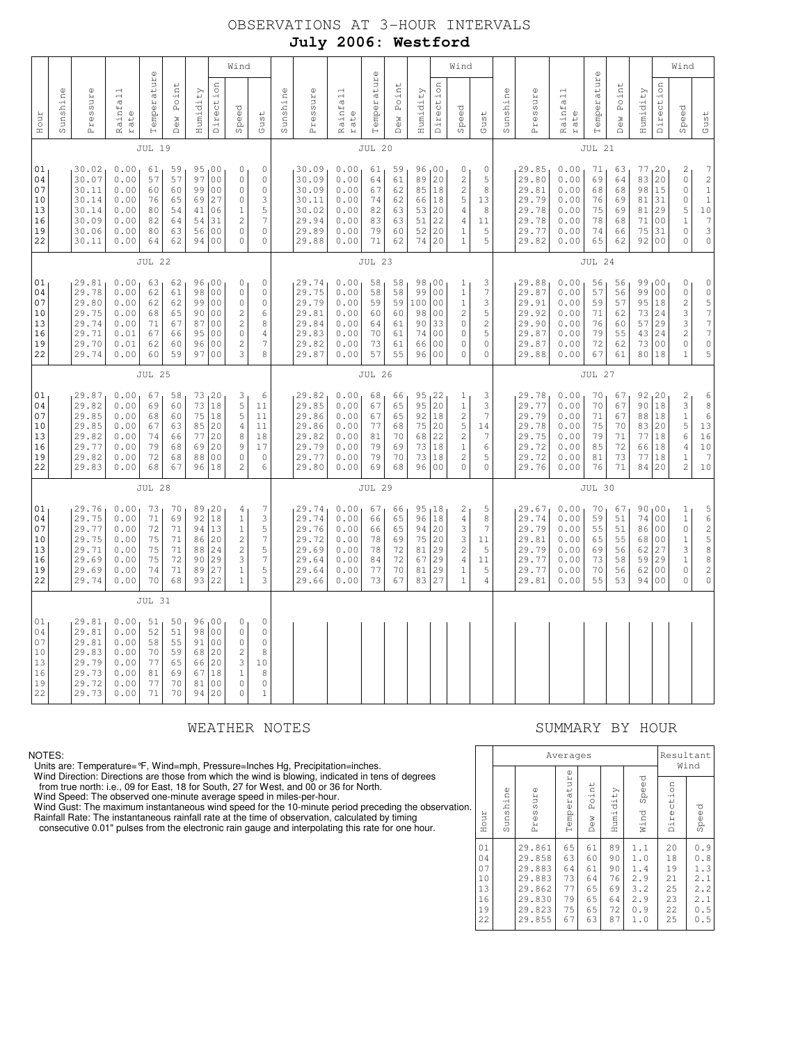# OBSERVATIONS AT 3-HOUR INTERVALS **July 2006: Westford**

|                                              | $\mathbb O$   |                                                                      |                                                              |                                              |                                              |                                        |                                                                                                                                     | Wind                                                                                                   |                                                                                                          |               |                                                                      |                                                              | $\mathbb O$                                  |                                              |                                                  |                                                                                                           | Wind                                                                                            |                                                                   |          |                                                                      |                                                              | $\mathbb O$                                  |                                              |                                                  |                                                                                                    | Wind                                                                             |                                                                                                                               |
|----------------------------------------------|---------------|----------------------------------------------------------------------|--------------------------------------------------------------|----------------------------------------------|----------------------------------------------|----------------------------------------|-------------------------------------------------------------------------------------------------------------------------------------|--------------------------------------------------------------------------------------------------------|----------------------------------------------------------------------------------------------------------|---------------|----------------------------------------------------------------------|--------------------------------------------------------------|----------------------------------------------|----------------------------------------------|--------------------------------------------------|-----------------------------------------------------------------------------------------------------------|-------------------------------------------------------------------------------------------------|-------------------------------------------------------------------|----------|----------------------------------------------------------------------|--------------------------------------------------------------|----------------------------------------------|----------------------------------------------|--------------------------------------------------|----------------------------------------------------------------------------------------------------|----------------------------------------------------------------------------------|-------------------------------------------------------------------------------------------------------------------------------|
| Hour                                         | Sunshine      | Pressure                                                             | Rainfall<br>rate                                             | Temperatur                                   | Point<br>Dew                                 | Humidity                               | Direction                                                                                                                           | Speed                                                                                                  | Gust                                                                                                     | Sunshine      | Pressure                                                             | Rainfall<br>rate                                             | atur<br>Temper                               | Point<br>Dew                                 | Humidity                                         | Direction                                                                                                 | Speed                                                                                           | Gust                                                              | Sunshine | Pressure                                                             | Rainfall<br>rate                                             | Temperatur                                   | Point<br>Dew                                 | Humidity                                         | Direction                                                                                          | Speed                                                                            | Gust                                                                                                                          |
|                                              |               |                                                                      |                                                              | <b>JUL 19</b>                                |                                              |                                        |                                                                                                                                     |                                                                                                        |                                                                                                          |               |                                                                      |                                                              | <b>JUL 20</b>                                |                                              |                                                  |                                                                                                           |                                                                                                 |                                                                   |          |                                                                      |                                                              | <b>JUL 21</b>                                |                                              |                                                  |                                                                                                    |                                                                                  |                                                                                                                               |
| 01<br>04<br>07<br>10<br>13<br>16<br>19<br>22 |               | 30.02<br>30.07<br>30.11<br>30.14<br>30.14<br>30.09<br>30.06<br>30.11 | 0.00<br>0.00<br>0.00<br>0.00<br>0.00<br>0.00<br>0.00<br>0.00 | 61<br>57<br>60<br>76<br>80<br>82<br>80<br>64 | 59<br>57<br>60<br>65<br>54<br>64<br>63<br>62 | 97<br>99<br>69<br>41<br>54<br>56<br>94 | 95,00<br>0 <sub>0</sub><br>0 <sub>0</sub><br>27<br>06<br>31<br>0 <sub>0</sub><br>0 <sup>0</sup>                                     | 0<br>$\mathbb O$<br>$\mathsf{O}\xspace$<br>0<br>1<br>$\overline{c}$<br>$\mathbf 0$<br>0                | $\mathbb O$<br>$\mathbb O$<br>$\mathsf{O}\xspace$<br>3<br>5<br>$\overline{7}$<br>$\mathbf 0$<br>$\Omega$ |               | 30.09<br>30.09<br>30.09<br>30.11<br>30.02<br>29.94<br>29.89<br>29.88 | 0.00<br>0.00<br>0.00<br>0.00<br>0.00<br>0.00<br>0.00<br>0.00 | 61<br>64<br>67<br>74<br>82<br>83<br>79<br>71 | 59<br>61<br>62<br>62<br>63<br>63<br>60<br>62 | 96<br>89<br>85<br>66<br>53<br>51<br>52<br>74     | 00 <sub>1</sub><br>20<br>18<br>18<br>20<br>22<br>20<br>20                                                 | 0<br>$\overline{c}$<br>$\overline{c}$<br>5<br>$\overline{4}$<br>4<br>1                          | 0<br>5<br>8<br>13<br>8<br>11<br>5<br>5                            |          | 29.85<br>29.80<br>29.81<br>29.79<br>29.78<br>29.78<br>29.77<br>29.82 | 0.00<br>0.00<br>0.00<br>0.00<br>0.00<br>0.00<br>0.00<br>0.00 | 71<br>69<br>68<br>76<br>75<br>78<br>74<br>65 | 63<br>64<br>68<br>69<br>69<br>68<br>66<br>62 | 77, 20<br>83<br>98<br>81<br>81<br>71<br>75<br>92 | 20<br>15<br>31<br>29<br>0 <sub>0</sub><br>31<br>0 <sub>0</sub>                                     | 2<br>$\circ$<br>$\circ$<br>$\circ$<br>5<br>$1\,$<br>$\circ$<br>$\mathbf 0$       | $\boldsymbol{7}$<br>$\overline{c}$<br>$\mathbf 1$<br>$\bar{1}$<br>$10$<br>$\boldsymbol{7}$<br>3<br>$\mathbf 0$                |
|                                              |               |                                                                      |                                                              | <b>JUL 22</b>                                |                                              |                                        |                                                                                                                                     |                                                                                                        |                                                                                                          |               |                                                                      |                                                              | <b>JUL 23</b>                                |                                              |                                                  |                                                                                                           |                                                                                                 |                                                                   |          |                                                                      |                                                              | JUL 24                                       |                                              |                                                  |                                                                                                    |                                                                                  |                                                                                                                               |
| 01<br>04<br>07<br>10<br>13<br>16<br>19<br>22 |               | 29.81<br>29.78<br>29.80<br>29.75<br>29.74<br>29.71<br>29.70<br>29.74 | 0.00<br>0.00<br>0.00<br>0.00<br>0.00<br>0.01<br>0.01<br>0.00 | 63<br>62<br>62<br>68<br>71<br>67<br>62<br>60 | 62<br>61<br>62<br>65<br>67<br>66<br>60<br>59 | 98<br>99<br>90<br>87<br>95<br>96<br>97 | 96,00<br>0 <sub>0</sub><br>0 <sub>0</sub><br>0 <sub>0</sub><br>0 <sub>0</sub><br>0 <sub>0</sub><br>0 <sub>0</sub><br>0 <sub>0</sub> | 0<br>$\mathbb O$<br>$\mathbf 0$<br>$\overline{c}$<br>$\mathbf{2}$<br>$\circ$<br>$\overline{c}$<br>3    | $\mathbb O$<br>$\mathbb O$<br>$\mathbb O$<br>6<br>8<br>4<br>7<br>8                                       |               | 29.74<br>29.75<br>29.79<br>29.81<br>29.84<br>29.83<br>29.82<br>29.87 | 0.00<br>0.00<br>0.00<br>0.00<br>0.00<br>0.00<br>0.00<br>0.00 | 58<br>58<br>59<br>60<br>64<br>70<br>73<br>57 | 58<br>58<br>59<br>60<br>61<br>61<br>61<br>55 | 98<br>99<br>100<br>98<br>90<br>74<br>66<br>96    | 00 <sub>1</sub><br>00<br>00<br>0 <sub>0</sub><br>33<br>0 <sub>0</sub><br>0 <sub>0</sub><br>0 <sub>0</sub> | 1<br>$1\,$<br>$1\,$<br>$\overline{c}$<br>0<br>0<br>0<br>$\Omega$                                | 3<br>$\boldsymbol{7}$<br>3<br>5<br>$\overline{c}$<br>5<br>0<br>0  |          | 29.88<br>29.87<br>29.91<br>29.92<br>29.90<br>29.87<br>29.87<br>29.88 | 0.00<br>0.00<br>0.00<br>0.00<br>0.00<br>0.00<br>0.00<br>0.00 | 56<br>57<br>59<br>71<br>76<br>79<br>72<br>67 | 56<br>56<br>57<br>62<br>60<br>55<br>62<br>61 | 99<br>99<br>95<br>73<br>57<br>43<br>73<br>80     | 00 <sub>1</sub><br>0 <sub>0</sub><br>18<br>24<br>29<br>24<br>0 <sub>0</sub><br>18                  | 0<br>$\mathbb O$<br>$\overline{c}$<br>3<br>3<br>$\mathbf 2$<br>0<br>$\mathbf{1}$ | $\mathsf{O}\xspace$<br>$\mathbb O$<br>5<br>$\boldsymbol{7}$<br>$\overline{7}$<br>$\boldsymbol{7}$<br>$\mathsf{O}\xspace$<br>5 |
|                                              | <b>JUL 25</b> |                                                                      |                                                              |                                              |                                              |                                        |                                                                                                                                     |                                                                                                        |                                                                                                          | <b>JUL 26</b> |                                                                      |                                                              |                                              |                                              |                                                  |                                                                                                           |                                                                                                 |                                                                   |          | <b>JUL 27</b>                                                        |                                                              |                                              |                                              |                                                  |                                                                                                    |                                                                                  |                                                                                                                               |
| 01<br>04<br>07<br>10<br>13<br>16<br>19<br>22 |               | 29.87<br>29.82<br>29.85<br>29.85<br>29.82<br>29.77<br>29.82<br>29.83 | 0.00<br>0.00<br>0.00<br>0.00<br>0.00<br>0.00<br>0.00<br>0.00 | 67<br>69<br>68<br>67<br>74<br>79<br>72<br>68 | 58<br>60<br>60<br>63<br>66<br>68<br>68<br>67 | 73<br>75<br>85<br>77<br>69<br>88<br>96 | 73, 20<br>18<br>18<br>20<br>20<br>20<br>0 <sub>0</sub><br>18                                                                        | 3<br>5<br>5<br>$\overline{4}$<br>8<br>9<br>$\circ$<br>$\overline{c}$                                   | 6<br>11<br>11<br>11<br>18<br>17<br>$\circ$<br>6                                                          |               | 29.82<br>29.85<br>29.86<br>29.86<br>29.82<br>29.79<br>29.77<br>29.80 | 0.00<br>0.00<br>0.00<br>0.00<br>0.00<br>0.00<br>0.00<br>0.00 | 68<br>67<br>67<br>77<br>81<br>79<br>79<br>69 | 66<br>65<br>65<br>68<br>70<br>69<br>70<br>68 | 95<br>95<br>92<br>75<br>68<br>73<br>73<br>96     | 122<br> 20<br>18<br>20<br>22<br>18<br>18<br>00                                                            | -1<br>$1\,$<br>$\overline{c}$<br>5<br>$\overline{c}$<br>1<br>$\overline{c}$<br>0                | 3<br>3<br>$\boldsymbol{7}$<br>14<br>$\overline{7}$<br>6<br>5<br>0 |          | 29.78<br>29.77<br>29.79<br>29.78<br>29.75<br>29.72<br>29.72<br>29.76 | 0.00<br>0.00<br>0.00<br>0.00<br>0.00<br>0.00<br>0.00<br>0.00 | 70<br>70<br>71<br>75<br>79<br>85<br>81<br>76 | 67<br>67<br>67<br>70<br>71<br>72<br>73<br>71 | 92, 20<br>90<br>88<br>83<br>77<br>66<br>77<br>84 | 18<br>18<br>20<br>18<br>18<br>18<br>20                                                             | 2<br>3<br>$\mathbf{1}$<br>5<br>6<br>4<br>$\mathbf{1}$<br>$\overline{c}$          | 6<br>$\begin{array}{c} 8 \end{array}$<br>$\epsilon$<br>13<br>$16\,$<br>10<br>$\overline{7}$<br>10                             |
|                                              |               |                                                                      |                                                              | <b>JUL 28</b>                                |                                              |                                        |                                                                                                                                     |                                                                                                        |                                                                                                          |               |                                                                      |                                                              | <b>JUL 29</b>                                |                                              |                                                  |                                                                                                           |                                                                                                 |                                                                   |          |                                                                      |                                                              | JUL 30                                       |                                              |                                                  |                                                                                                    |                                                                                  |                                                                                                                               |
| 01<br>04<br>07<br>10<br>13<br>16<br>19<br>22 |               | 29.76<br>29.75<br>29.77<br>29.75<br>29.71<br>29.69<br>29.69<br>29.74 | 0.00<br>0.00<br>0.00<br>0.00<br>0.00<br>0.00<br>0.00<br>0.00 | 73<br>71<br>72<br>75<br>75<br>75<br>74<br>70 | 70<br>69<br>71<br>71<br>71<br>72<br>71<br>68 | 92<br>94<br>86<br>88<br>90<br>89<br>93 | 89, 20<br>18<br>13<br>20<br>24<br>29<br>27<br>22                                                                                    | 4<br>$\mathbf{1}$<br>$\mathbf{1}$<br>$\overline{c}$<br>$\sqrt{2}$<br>3<br>$\mathbf{1}$<br>$\mathbf{1}$ | 7<br>3<br>5<br>$\boldsymbol{7}$<br>5<br>$\boldsymbol{7}$<br>5<br>3                                       |               | 29.74<br>29.74<br>29.76<br>29.72<br>29.69<br>29.64<br>29.64<br>29.66 | 0.00<br>0.00<br>0.00<br>0.00<br>0.00<br>0.00<br>0.00<br>0.00 | 67<br>66<br>66<br>78<br>78<br>84<br>77<br>73 | 66<br>65<br>65<br>69<br>72<br>72<br>70<br>67 | 95, 18<br>96<br>94<br>75<br>81<br>67<br>81<br>83 | 18<br> 20<br>20<br>29<br>29<br>29<br>27                                                                   | 2<br>$\overline{4}$<br>3<br>3<br>$\mathbf{2}$<br>$\overline{4}$<br>$\mathbf{1}$<br>$\mathbf{1}$ | 5<br>8<br>7<br>11<br>5<br>11<br>5<br>$\overline{4}$               |          | 29.67<br>29.74<br>29.79<br>29.81<br>29.79<br>29.77<br>29.77<br>29.81 | 0.00<br>0.00<br>0.00<br>0.00<br>0.00<br>0.00<br>0.00<br>0.00 | 70<br>59<br>55<br>65<br>69<br>73<br>70<br>55 | 67<br>51<br>51<br>55<br>56<br>58<br>56<br>53 | 90,00<br>74<br>86<br>68<br>62<br>59<br>62<br>94  | 0 <sub>0</sub><br>0 <sub>0</sub><br>0 <sub>0</sub><br>27<br>29<br>0 <sub>0</sub><br>0 <sub>0</sub> | 1<br>$\mathbf 1$<br>$\circ$<br>$1\,$<br>3<br>$1\,$<br>$\circ$<br>$\circ$         | $\frac{5}{6}$<br>$\overline{\mathbf{c}}$<br>5<br>$\,8\,$<br>$\,$ 8 $\,$<br>$\overline{c}$<br>$\mathsf{O}\xspace$              |
|                                              |               |                                                                      |                                                              | <b>JUL 31</b>                                |                                              |                                        |                                                                                                                                     |                                                                                                        |                                                                                                          |               |                                                                      |                                                              |                                              |                                              |                                                  |                                                                                                           |                                                                                                 |                                                                   |          |                                                                      |                                                              |                                              |                                              |                                                  |                                                                                                    |                                                                                  |                                                                                                                               |
| 01<br>04<br>07<br>10<br>13<br>16<br>19<br>22 |               | 29.81<br>29.81<br>29.81<br>29.83<br>29.79<br>29.73<br>29.72<br>29.73 | 0.00<br>0.00<br>0.00<br>0.00<br>0.00<br>0.00<br>0.00<br>0.00 | 51<br>52<br>58<br>70<br>77<br>81<br>77<br>71 | 50<br>51<br>55<br>59<br>65<br>69<br>70<br>70 | 98<br>91<br>68<br>66<br>67<br>81<br>94 | 96,00<br>0 <sub>0</sub><br>0 <sub>0</sub><br>20<br>20<br>18<br>0 <sub>0</sub><br>20                                                 | 0<br>$\mathbb O$<br>$\mathbf 0$<br>$\sqrt{2}$<br>3<br>$\mathbf 1$<br>$\mathbb O$<br>0                  | 0<br>$\mathbb O$<br>$\mathbb O$<br>8<br>10<br>8<br>$\mathbb O$<br>$\mathbf{1}$                           |               |                                                                      |                                                              |                                              |                                              |                                                  |                                                                                                           |                                                                                                 |                                                                   |          |                                                                      |                                                              |                                              |                                              |                                                  |                                                                                                    |                                                                                  |                                                                                                                               |

### NOTES:

Units are: Temperature= °F, Wind=mph, Pressure=Inches Hg, Precipitation=inches.<br>Wind Direction: Directions are those from which the wind is blowing, indicated in tens of degrees<br>from true north: i.e., 09 for East, 18 for S

Wind Gust: The maximum instantaneous wind speed for the 10-minute period preceding the observation.

 Rainfall Rate: The instantaneous rainfall rate at the time of observation, calculated by timing consecutive 0.01" pulses from the electronic rain gauge and interpolating this rate for one hour.

## WEATHER NOTES SUMMARY BY HOUR

|     |                                              |          |                                                                              | Averages                                     |                                              |                                              | Resultant                                            | Wind                                         |                                                      |
|-----|----------------------------------------------|----------|------------------------------------------------------------------------------|----------------------------------------------|----------------------------------------------|----------------------------------------------|------------------------------------------------------|----------------------------------------------|------------------------------------------------------|
| 'n. | Hour                                         | Sunshine | Ф<br>Pressur                                                                 | Temperature                                  | Point<br>Dew                                 | Humidity                                     | Speed<br>Wind                                        | Direction                                    | Speed                                                |
|     | 01<br>04<br>07<br>10<br>13<br>16<br>19<br>22 |          | 29.861<br>29.858<br>29.883<br>29.883<br>29.862<br>29.830<br>29.823<br>29.855 | 65<br>63<br>64<br>73<br>77<br>79<br>75<br>67 | 61<br>60<br>61<br>64<br>65<br>65<br>65<br>63 | 89<br>90<br>90<br>76<br>69<br>64<br>72<br>87 | 1.1<br>1.0<br>1.4<br>2.9<br>3.2<br>2.9<br>0.9<br>1.0 | 20<br>18<br>19<br>21<br>25<br>23<br>22<br>25 | 0.9<br>0.8<br>1.3<br>2.1<br>2.2<br>2.1<br>0.5<br>0.5 |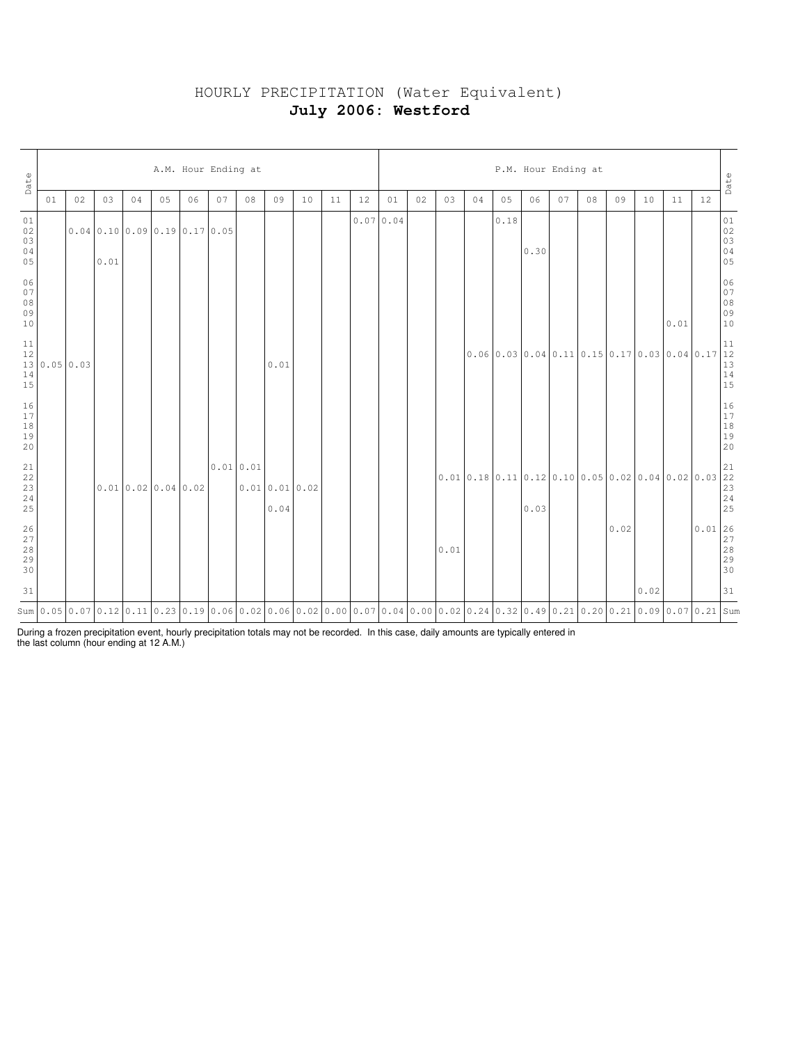# HOURLY PRECIPITATION (Water Equivalent) **July 2006: Westford**

| Date                                                             |           | A.M. Hour Ending at |      |    |                  |                                                                                                                                           |          |    |                      |    |    |    |          |    |      | P.M. Hour Ending at<br>Date |      |                                                |    |    |      |      |      |                                                                                                                                                                                            |                                                                                                                           |  |  |  |
|------------------------------------------------------------------|-----------|---------------------|------|----|------------------|-------------------------------------------------------------------------------------------------------------------------------------------|----------|----|----------------------|----|----|----|----------|----|------|-----------------------------|------|------------------------------------------------|----|----|------|------|------|--------------------------------------------------------------------------------------------------------------------------------------------------------------------------------------------|---------------------------------------------------------------------------------------------------------------------------|--|--|--|
|                                                                  | 01        | 02                  | 03   | 04 | 05               | 06                                                                                                                                        | 07       | 08 | 09                   | 10 | 11 | 12 | 01       | 02 | 03   | 04                          | 05   | 06                                             | 07 | 08 | 09   | 10   | 11   | 12                                                                                                                                                                                         |                                                                                                                           |  |  |  |
| 01<br>02<br>03<br>04<br>05                                       |           |                     | 0.01 |    |                  | 0.040.1000.090.190.170.05                                                                                                                 |          |    |                      |    |    |    | 0.070.04 |    |      |                             | 0.18 | 0.30                                           |    |    |      |      |      |                                                                                                                                                                                            | $\begin{array}{c} 01 \\ 02 \\ 03 \\ 04 \\ 05 \end{array}$                                                                 |  |  |  |
| 06<br>07<br>$\begin{array}{c} 0.8 \\ 0.9 \end{array}$<br>10      |           |                     |      |    |                  |                                                                                                                                           |          |    |                      |    |    |    |          |    |      |                             |      |                                                |    |    |      |      | 0.01 |                                                                                                                                                                                            | 06<br>07<br>08<br>09<br>09<br>10                                                                                          |  |  |  |
| 11<br>$\begin{array}{c} 12 \\ 13 \\ 14 \end{array}$<br>15        | 0.0500.03 |                     |      |    |                  |                                                                                                                                           |          |    | 0.01                 |    |    |    |          |    |      |                             |      | $0.06$ 0.03 0.04 0.11 0.15 0.17 0.03 0.04 0.17 |    |    |      |      |      |                                                                                                                                                                                            | $\begin{array}{ c c } \hline 1 & 1 \\ \hline 1 & 2 \\ \hline 1 & 3 \\ \hline 1 & 4 \\ \hline 1 & 5 \\ \hline \end{array}$ |  |  |  |
| $\begin{array}{c} 16 \\ 17 \\ 18 \end{array}$<br>19<br>20        |           |                     |      |    |                  |                                                                                                                                           |          |    |                      |    |    |    |          |    |      |                             |      |                                                |    |    |      |      |      |                                                                                                                                                                                            | $\begin{array}{c} 16 \\ 17 \\ 18 \\ 19 \\ 20 \end{array}$                                                                 |  |  |  |
| $\begin{array}{c} 21 \\ 22 \\ 23 \end{array}$<br>$\frac{24}{25}$ |           |                     |      |    | 0.010.020.040.02 |                                                                                                                                           | 0.010.01 |    | 0.010.010.02<br>0.04 |    |    |    |          |    |      |                             |      |                                                |    |    |      |      |      | $\left  0.01 \left  0.18 \left  0.11 \right  0.12 \left  0.10 \left  0.05 \right  0.02 \left  0.04 \left  0.02 \right  0.03 \right  \right  \right ^{21}_{\substack{23 \ 23 \\ 24 \\ 25}}$ |                                                                                                                           |  |  |  |
| $\begin{array}{c} 26 \\ 27 \end{array}$<br>$\frac{28}{29}$<br>30 |           |                     |      |    |                  |                                                                                                                                           |          |    |                      |    |    |    |          |    | 0.01 |                             |      |                                                |    |    | 0.02 |      |      | $\begin{array}{r} \n 0.01 \overline{\smash{\big)}\ 26} \\ \underline{27} \\ \underline{28} \\ \underline{29} \\ 30 \end{array}$                                                            |                                                                                                                           |  |  |  |
| 31                                                               |           |                     |      |    |                  |                                                                                                                                           |          |    |                      |    |    |    |          |    |      |                             |      |                                                |    |    |      | 0.02 |      |                                                                                                                                                                                            | 31                                                                                                                        |  |  |  |
|                                                                  |           |                     |      |    |                  | Sum 0.05 0.07 0.12 0.11 0.23 0.19 0.06 0.02 0.06 0.02 0.00 0.07 0.04 0.00 0.02 0.24 0.32 0.49 0.21 0.20 0.21 0.20 0.21 0.09 0.07 0.21 Sum |          |    |                      |    |    |    |          |    |      |                             |      |                                                |    |    |      |      |      |                                                                                                                                                                                            |                                                                                                                           |  |  |  |

During a frozen precipitation event, hourly precipitation totals may not be recorded. In this case, daily amounts are typically entered in the last column (hour ending at 12 A.M.)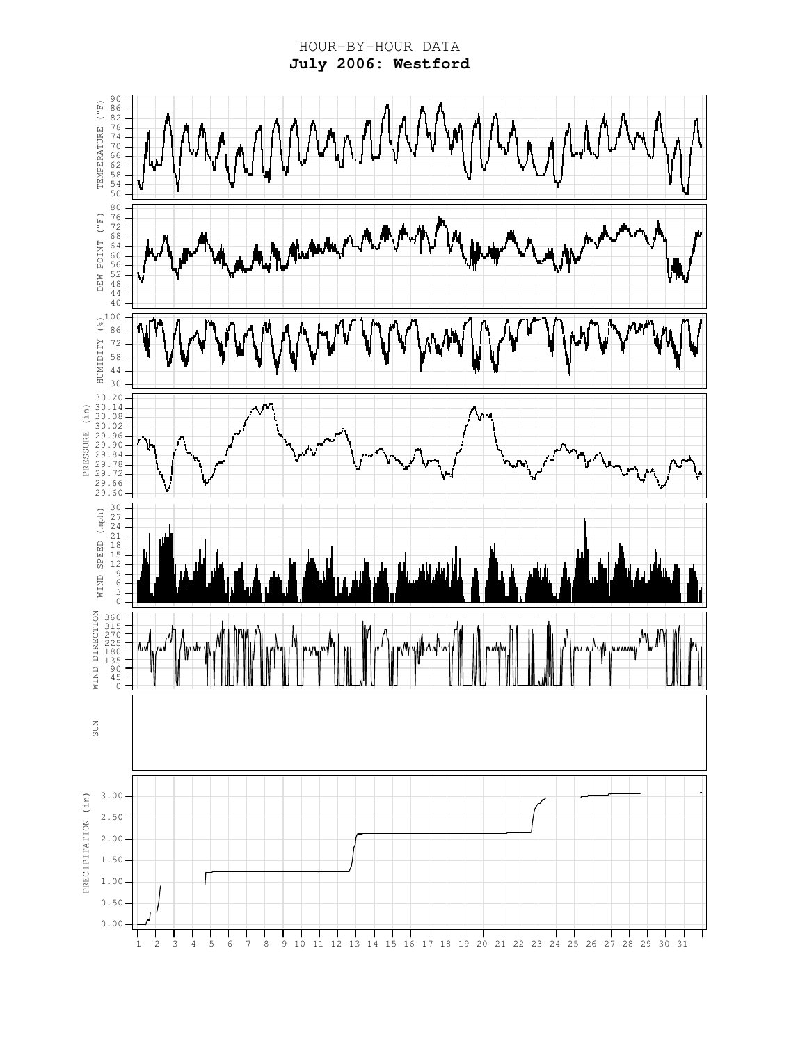HOUR-BY-HOUR DATA **July 2006: Westford**